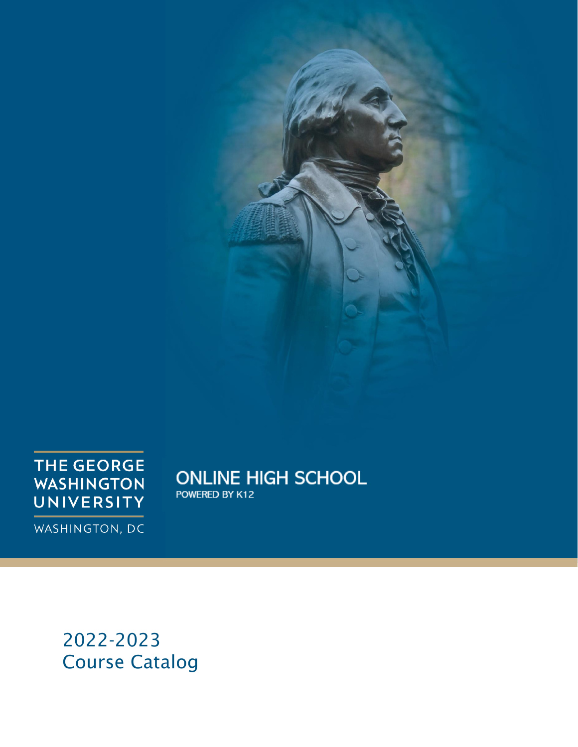

**THE GEORGE WASHINGTON** UNIVERSITY

**ONLINE HIGH SCHOOL** POWERED BY K12

WASHINGTON, DC

2022 -2023 Course Catalog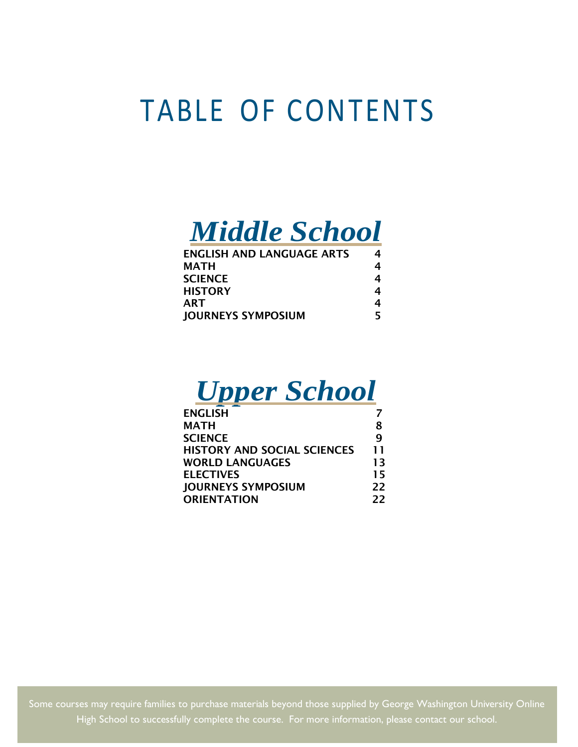## TABLE OF CONTENTS



| <b>ENGLISH AND LANGUAGE ARTS</b> | 4 |
|----------------------------------|---|
| <b>MATH</b>                      | 4 |
| <b>SCIENCE</b>                   | 4 |
| <b>HISTORY</b>                   | 4 |
| ART                              | 4 |
| <b>JOURNEYS SYMPOSIUM</b>        |   |

## *Upper School*

| <b>ENGLISH</b>                     |    |
|------------------------------------|----|
| <b>MATH</b>                        | 8  |
| <b>SCIENCE</b>                     | q  |
| <b>HISTORY AND SOCIAL SCIENCES</b> | 11 |
| <b>WORLD LANGUAGES</b>             | 13 |
| <b>ELECTIVES</b>                   | 15 |
| <b>JOURNEYS SYMPOSIUM</b>          | 22 |
| <b>ORIENTATION</b>                 | 22 |

2 Some courses may require families to purchase materials beyond those supplied by George Washington University Online High School to successfully complete the course. For more information, please contact our school.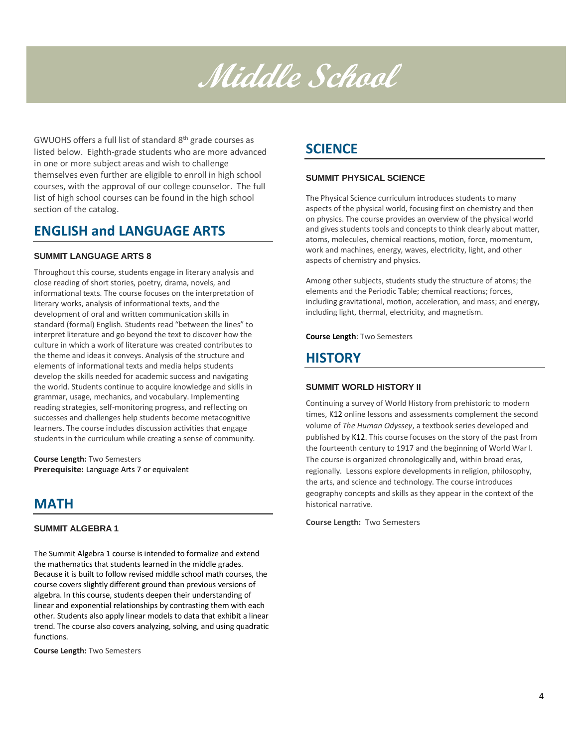## **Middle School**

GWUOHS offers a full list of standard 8th grade courses as listed below. Eighth-grade students who are more advanced in one or more subject areas and wish to challenge themselves even further are eligible to enroll in high school courses, with the approval of our college counselor. The full list of high school courses can be found in the high school section of the catalog.

## **ENGLISH and LANGUAGE ARTS**

#### **SUMMIT LANGUAGE ARTS 8**

Throughout this course, students engage in literary analysis and close reading of short stories, poetry, drama, novels, and informational texts. The course focuses on the interpretation of literary works, analysis of informational texts, and the development of oral and written communication skills in standard (formal) English. Students read "between the lines" to interpret literature and go beyond the text to discover how the culture in which a work of literature was created contributes to the theme and ideas it conveys. Analysis of the structure and elements of informational texts and media helps students develop the skills needed for academic success and navigating the world. Students continue to acquire knowledge and skills in grammar, usage, mechanics, and vocabulary. Implementing reading strategies, self-monitoring progress, and reflecting on successes and challenges help students become metacognitive learners. The course includes discussion activities that engage students in the curriculum while creating a sense of community.

**Course Length:** Two Semesters **Prerequisite:** Language Arts 7 or equivalent

## **MATH**

#### **SUMMIT ALGEBRA 1**

The Summit Algebra 1 course is intended to formalize and extend the mathematics that students learned in the middle grades. Because it is built to follow revised middle school math courses, the course covers slightly different ground than previous versions of algebra. In this course, students deepen their understanding of linear and exponential relationships by contrasting them with each other. Students also apply linear models to data that exhibit a linear trend. The course also covers analyzing, solving, and using quadratic functions.

**Course Length:** Two Semesters

## **SCIENCE**

#### **SUMMIT PHYSICAL SCIENCE**

The Physical Science curriculum introduces students to many aspects of the physical world, focusing first on chemistry and then on physics. The course provides an overview of the physical world and gives students tools and concepts to think clearly about matter, atoms, molecules, chemical reactions, motion, force, momentum, work and machines, energy, waves, electricity, light, and other aspects of chemistry and physics.

Among other subjects, students study the structure of atoms; the elements and the Periodic Table; chemical reactions; forces, including gravitational, motion, acceleration, and mass; and energy, including light, thermal, electricity, and magnetism.

**Course Length**: Two Semesters

## **HISTORY**

#### **SUMMIT WORLD HISTORY II**

Continuing a survey of World History from prehistoric to modern times, K12 online lessons and assessments complement the second volume of *The Human Odyssey*, a textbook series developed and published by K12. This course focuses on the story of the past from the fourteenth century to 1917 and the beginning of World War I. The course is organized chronologically and, within broad eras, regionally. Lessons explore developments in religion, philosophy, the arts, and science and technology. The course introduces geography concepts and skills as they appear in the context of the historical narrative.

**Course Length:** Two Semesters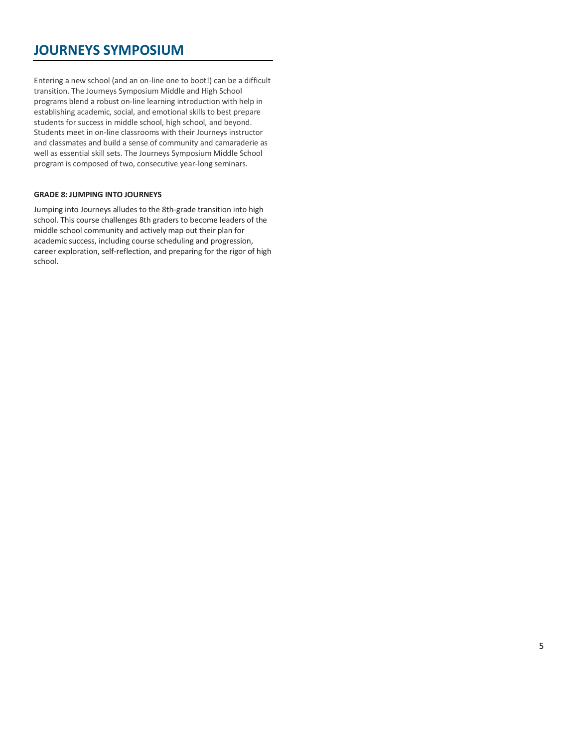## **JOURNEYS SYMPOSIUM**

Entering a new school (and an on-line one to boot!) can be a difficult transition. The Journeys Symposium Middle and High School programs blend a robust on-line learning introduction with help in establishing academic, social, and emotional skills to best prepare students for success in middle school, high school, and beyond. Students meet in on-line classrooms with their Journeys instructor and classmates and build a sense of community and camaraderie as well as essential skill sets. The Journeys Symposium Middle School program is composed of two, consecutive year-long seminars.

#### **GRADE 8: JUMPING INTO JOURNEYS**

Jumping into Journeys alludes to the 8th-grade transition into high school. This course challenges 8th graders to become leaders of the middle school community and actively map out their plan for academic success, including course scheduling and progression, career exploration, self-reflection, and preparing for the rigor of high school.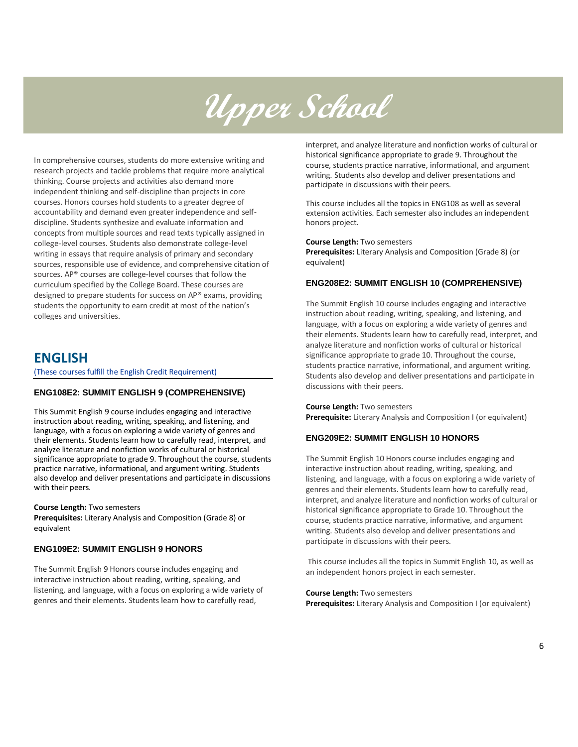# **Upper School**

In comprehensive courses, students do more extensive writing and research projects and tackle problems that require more analytical thinking. Course projects and activities also demand more independent thinking and self-discipline than projects in core courses. Honors courses hold students to a greater degree of accountability and demand even greater independence and selfdiscipline. Students synthesize and evaluate information and concepts from multiple sources and read texts typically assigned in college-level courses. Students also demonstrate college-level writing in essays that require analysis of primary and secondary sources, responsible use of evidence, and comprehensive citation of sources. AP® courses are college-level courses that follow the curriculum specified by the College Board. These courses are designed to prepare students for success on AP® exams, providing students the opportunity to earn credit at most of the nation's colleges and universities.

### **ENGLISH**

(These courses fulfill the English Credit Requirement)

#### **ENG108E2: SUMMIT ENGLISH 9 (COMPREHENSIVE)**

This Summit English 9 course includes engaging and interactive instruction about reading, writing, speaking, and listening, and language, with a focus on exploring a wide variety of genres and their elements. Students learn how to carefully read, interpret, and analyze literature and nonfiction works of cultural or historical significance appropriate to grade 9. Throughout the course, students practice narrative, informational, and argument writing. Students also develop and deliver presentations and participate in discussions with their peers.

#### **Course Length:** Two semesters

**Prerequisites:** Literary Analysis and Composition (Grade 8) or equivalent

#### **ENG109E2: SUMMIT ENGLISH 9 HONORS**

The Summit English 9 Honors course includes engaging and interactive instruction about reading, writing, speaking, and listening, and language, with a focus on exploring a wide variety of genres and their elements. Students learn how to carefully read,

interpret, and analyze literature and nonfiction works of cultural or historical significance appropriate to grade 9. Throughout the course, students practice narrative, informational, and argument writing. Students also develop and deliver presentations and participate in discussions with their peers.

This course includes all the topics in ENG108 as well as several extension activities. Each semester also includes an independent honors project.

#### **Course Length:** Two semesters

**Prerequisites:** Literary Analysis and Composition (Grade 8) (or equivalent)

#### **ENG208E2: SUMMIT ENGLISH 10 (COMPREHENSIVE)**

The Summit English 10 course includes engaging and interactive instruction about reading, writing, speaking, and listening, and language, with a focus on exploring a wide variety of genres and their elements. Students learn how to carefully read, interpret, and analyze literature and nonfiction works of cultural or historical significance appropriate to grade 10. Throughout the course, students practice narrative, informational, and argument writing. Students also develop and deliver presentations and participate in discussions with their peers.

#### **Course Length:** Two semesters

**Prerequisite:** Literary Analysis and Composition I (or equivalent)

#### **ENG209E2: SUMMIT ENGLISH 10 HONORS**

The Summit English 10 Honors course includes engaging and interactive instruction about reading, writing, speaking, and listening, and language, with a focus on exploring a wide variety of genres and their elements. Students learn how to carefully read, interpret, and analyze literature and nonfiction works of cultural or historical significance appropriate to Grade 10. Throughout the course, students practice narrative, informative, and argument writing. Students also develop and deliver presentations and participate in discussions with their peers.

This course includes all the topics in Summit English 10, as well as an independent honors project in each semester.

**Course Length:** Two semesters **Prerequisites:** Literary Analysis and Composition I (or equivalent)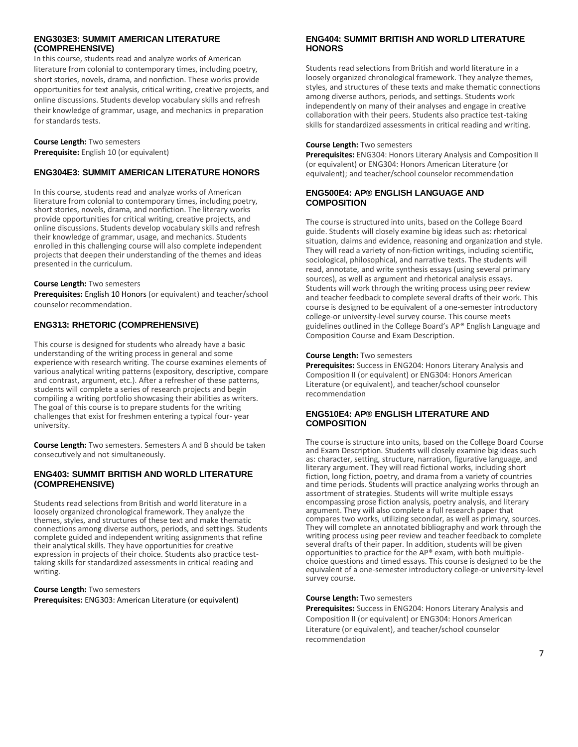#### **ENG303E3: SUMMIT AMERICAN LITERATURE (COMPREHENSIVE)**

In this course, students read and analyze works of American literature from colonial to contemporary times, including poetry, short stories, novels, drama, and nonfiction. These works provide opportunities for text analysis, critical writing, creative projects, and online discussions. Students develop vocabulary skills and refresh their knowledge of grammar, usage, and mechanics in preparation for standards tests.

**Course Length:** Two semesters **Prerequisite:** English 10 (or equivalent)

#### **ENG304E3: SUMMIT AMERICAN LITERATURE HONORS**

In this course, students read and analyze works of American literature from colonial to contemporary times, including poetry, short stories, novels, drama, and nonfiction. The literary works provide opportunities for critical writing, creative projects, and online discussions. Students develop vocabulary skills and refresh their knowledge of grammar, usage, and mechanics. Students enrolled in this challenging course will also complete independent projects that deepen their understanding of the themes and ideas presented in the curriculum.

#### **Course Length:** Two semesters

**Prerequisites:** English 10 Honors (or equivalent) and teacher/school counselor recommendation.

#### **ENG313: RHETORIC (COMPREHENSIVE)**

This course is designed for students who already have a basic understanding of the writing process in general and some experience with research writing. The course examines elements of various analytical writing patterns (expository, descriptive, compare and contrast, argument, etc.). After a refresher of these patterns, students will complete a series of research projects and begin compiling a writing portfolio showcasing their abilities as writers. The goal of this course is to prepare students for the writing challenges that exist for freshmen entering a typical four- year university.

**Course Length:** Two semesters. Semesters A and B should be taken consecutively and not simultaneously.

#### **ENG403: SUMMIT BRITISH AND WORLD LITERATURE (COMPREHENSIVE)**

Students read selections from British and world literature in a loosely organized chronological framework. They analyze the themes, styles, and structures of these text and make thematic connections among diverse authors, periods, and settings. Students complete guided and independent writing assignments that refine their analytical skills. They have opportunities for creative expression in projects of their choice. Students also practice testtaking skills for standardized assessments in critical reading and writing.

**Course Length:** Two semesters **Prerequisites:** ENG303: American Literature (or equivalent)

#### **ENG404: SUMMIT BRITISH AND WORLD LITERATURE HONORS**

Students read selections from British and world literature in a loosely organized chronological framework. They analyze themes, styles, and structures of these texts and make thematic connections among diverse authors, periods, and settings. Students work independently on many of their analyses and engage in creative collaboration with their peers. Students also practice test-taking skills for standardized assessments in critical reading and writing.

#### **Course Length:** Two semesters

**Prerequisites:** ENG304: Honors Literary Analysis and Composition II (or equivalent) or ENG304: Honors American Literature (or equivalent); and teacher/school counselor recommendation

#### **ENG500E4: AP® ENGLISH LANGUAGE AND COMPOSITION**

The course is structured into units, based on the College Board guide. Students will closely examine big ideas such as: rhetorical situation, claims and evidence, reasoning and organization and style. They will read a variety of non-fiction writings, including scientific, sociological, philosophical, and narrative texts. The students will read, annotate, and write synthesis essays (using several primary sources), as well as argument and rhetorical analysis essays. Students will work through the writing process using peer review and teacher feedback to complete several drafts of their work. This course is designed to be equivalent of a one-semester introductory college-or university-level survey course. This course meets guidelines outlined in the College Board's AP® English Language and Composition Course and Exam Description.

#### **Course Length:** Two semesters

**Prerequisites:** Success in ENG204: Honors Literary Analysis and Composition II (or equivalent) or ENG304: Honors American Literature (or equivalent), and teacher/school counselor recommendation

#### **ENG510E4: AP® ENGLISH LITERATURE AND COMPOSITION**

The course is structure into units, based on the College Board Course and Exam Description. Students will closely examine big ideas such as: character, setting, structure, narration, figurative language, and literary argument. They will read fictional works, including short fiction, long fiction, poetry, and drama from a variety of countries and time periods. Students will practice analyzing works through an assortment of strategies. Students will write multiple essays encompassing prose fiction analysis, poetry analysis, and literary argument. They will also complete a full research paper that compares two works, utilizing secondar, as well as primary, sources. They will complete an annotated bibliography and work through the writing process using peer review and teacher feedback to complete several drafts of their paper. In addition, students will be given opportunities to practice for the AP® exam, with both multiplechoice questions and timed essays. This course is designed to be the equivalent of a one-semester introductory college-or university-level survey course.

#### **Course Length:** Two semesters

**Prerequisites:** Success in ENG204: Honors Literary Analysis and Composition II (or equivalent) or ENG304: Honors American Literature (or equivalent), and teacher/school counselor recommendation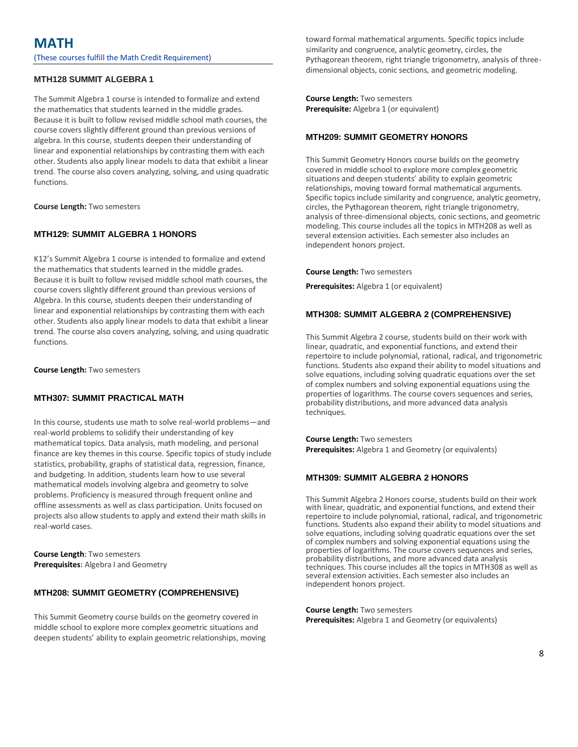#### **MTH128 SUMMIT ALGEBRA 1**

The Summit Algebra 1 course is intended to formalize and extend the mathematics that students learned in the middle grades. Because it is built to follow revised middle school math courses, the course covers slightly different ground than previous versions of algebra. In this course, students deepen their understanding of linear and exponential relationships by contrasting them with each other. Students also apply linear models to data that exhibit a linear trend. The course also covers analyzing, solving, and using quadratic functions.

**Course Length:** Two semesters

#### **MTH129: SUMMIT ALGEBRA 1 HONORS**

K12's Summit Algebra 1 course is intended to formalize and extend the mathematics that students learned in the middle grades. Because it is built to follow revised middle school math courses, the course covers slightly different ground than previous versions of Algebra. In this course, students deepen their understanding of linear and exponential relationships by contrasting them with each other. Students also apply linear models to data that exhibit a linear trend. The course also covers analyzing, solving, and using quadratic functions.

**Course Length:** Two semesters

#### **MTH307: SUMMIT PRACTICAL MATH**

In this course, students use math to solve real-world problems—and real-world problems to solidify their understanding of key mathematical topics. Data analysis, math modeling, and personal finance are key themes in this course. Specific topics of study include statistics, probability, graphs of statistical data, regression, finance, and budgeting. In addition, students learn how to use several mathematical models involving algebra and geometry to solve problems. Proficiency is measured through frequent online and offline assessments as well as class participation. Units focused on projects also allow students to apply and extend their math skills in real-world cases.

**Course Length**: Two semesters **Prerequisites**: Algebra I and Geometry

#### **MTH208: SUMMIT GEOMETRY (COMPREHENSIVE)**

This Summit Geometry course builds on the geometry covered in middle school to explore more complex geometric situations and deepen students' ability to explain geometric relationships, moving toward formal mathematical arguments. Specific topics include similarity and congruence, analytic geometry, circles, the Pythagorean theorem, right triangle trigonometry, analysis of threedimensional objects, conic sections, and geometric modeling.

**Course Length:** Two semesters **Prerequisite:** Algebra 1 (or equivalent)

#### **MTH209: SUMMIT GEOMETRY HONORS**

This Summit Geometry Honors course builds on the geometry covered in middle school to explore more complex geometric situations and deepen students' ability to explain geometric relationships, moving toward formal mathematical arguments. Specific topics include similarity and congruence, analytic geometry, circles, the Pythagorean theorem, right triangle trigonometry, analysis of three-dimensional objects, conic sections, and geometric modeling. This course includes all the topics in MTH208 as well as several extension activities. Each semester also includes an independent honors project.

**Course Length:** Two semesters

**Prerequisites:** Algebra 1 (or equivalent)

#### **MTH308: SUMMIT ALGEBRA 2 (COMPREHENSIVE)**

This Summit Algebra 2 course, students build on their work with linear, quadratic, and exponential functions, and extend their repertoire to include polynomial, rational, radical, and trigonometric functions. Students also expand their ability to model situations and solve equations, including solving quadratic equations over the set of complex numbers and solving exponential equations using the properties of logarithms. The course covers sequences and series, probability distributions, and more advanced data analysis techniques.

**Course Length:** Two semesters **Prerequisites:** Algebra 1 and Geometry (or equivalents)

#### **MTH309: SUMMIT ALGEBRA 2 HONORS**

This Summit Algebra 2 Honors course, students build on their work with linear, quadratic, and exponential functions, and extend their repertoire to include polynomial, rational, radical, and trigonometric functions. Students also expand their ability to model situations and solve equations, including solving quadratic equations over the set of complex numbers and solving exponential equations using the properties of logarithms. The course covers sequences and series, probability distributions, and more advanced data analysis techniques. This course includes all the topics in MTH308 as well as several extension activities. Each semester also includes an independent honors project.

**Course Length:** Two semesters **Prerequisites:** Algebra 1 and Geometry (or equivalents)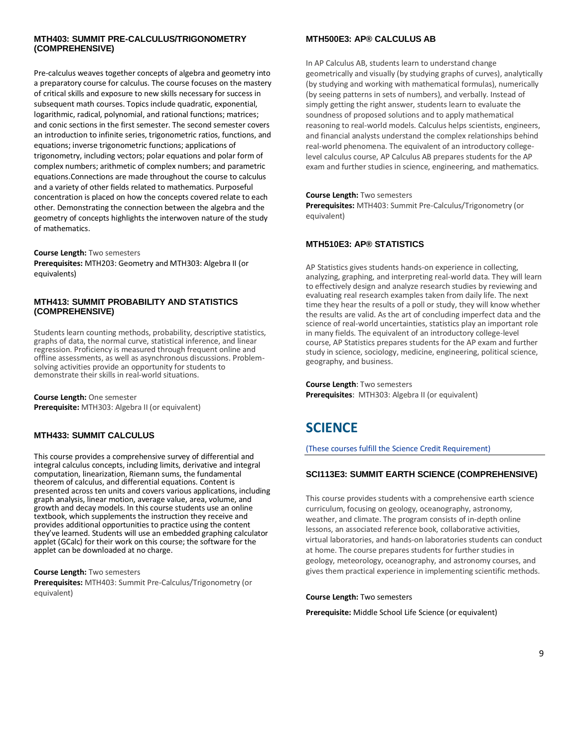#### **MTH403: SUMMIT PRE-CALCULUS/TRIGONOMETRY (COMPREHENSIVE)**

Pre-calculus weaves together concepts of algebra and geometry into a preparatory course for calculus. The course focuses on the mastery of critical skills and exposure to new skills necessary for success in subsequent math courses. Topics include quadratic, exponential, logarithmic, radical, polynomial, and rational functions; matrices; and conic sections in the first semester. The second semester covers an introduction to infinite series, trigonometric ratios, functions, and equations; inverse trigonometric functions; applications of trigonometry, including vectors; polar equations and polar form of complex numbers; arithmetic of complex numbers; and parametric equations.Connections are made throughout the course to calculus and a variety of other fields related to mathematics. Purposeful concentration is placed on how the concepts covered relate to each other. Demonstrating the connection between the algebra and the geometry of concepts highlights the interwoven nature of the study of mathematics.

**Course Length:** Two semesters

**Prerequisites:** MTH203: Geometry and MTH303: Algebra II (or equivalents)

#### **MTH413: SUMMIT PROBABILITY AND STATISTICS (COMPREHENSIVE)**

Students learn counting methods, probability, descriptive statistics, graphs of data, the normal curve, statistical inference, and linear regression. Proficiency is measured through frequent online and offline assessments, as well as asynchronous discussions. Problemsolving activities provide an opportunity for students to demonstrate their skills in real-world situations.

**Course Length:** One semester **Prerequisite:** MTH303: Algebra II (or equivalent)

#### **MTH433: SUMMIT CALCULUS**

This course provides a comprehensive survey of differential and integral calculus concepts, including limits, derivative and integral computation, linearization, Riemann sums, the fundamental theorem of calculus, and differential equations. Content is presented across ten units and covers various applications, including graph analysis, linear motion, average value, area, volume, and growth and decay models. In this course students use an online textbook, which supplements the instruction they receive and provides additional opportunities to practice using the content they've learned. Students will use an embedded graphing calculator applet (GCalc) for their work on this course; the software for the applet can be downloaded at no charge.

**Course Length:** Two semesters **Prerequisites:** MTH403: Summit Pre-Calculus/Trigonometry (or equivalent)

#### **MTH500E3: AP® CALCULUS AB**

In AP Calculus AB, students learn to understand change geometrically and visually (by studying graphs of curves), analytically (by studying and working with mathematical formulas), numerically (by seeing patterns in sets of numbers), and verbally. Instead of simply getting the right answer, students learn to evaluate the soundness of proposed solutions and to apply mathematical reasoning to real-world models. Calculus helps scientists, engineers, and financial analysts understand the complex relationships behind real-world phenomena. The equivalent of an introductory collegelevel calculus course, AP Calculus AB prepares students for the AP exam and further studies in science, engineering, and mathematics.

#### **Course Length:** Two semesters

**Prerequisites:** MTH403: Summit Pre-Calculus/Trigonometry (or equivalent)

#### **MTH510E3: AP® STATISTICS**

AP Statistics gives students hands-on experience in collecting, analyzing, graphing, and interpreting real-world data. They will learn to effectively design and analyze research studies by reviewing and evaluating real research examples taken from daily life. The next time they hear the results of a poll or study, they will know whether the results are valid. As the art of concluding imperfect data and the science of real-world uncertainties, statistics play an important role in many fields. The equivalent of an introductory college-level course, AP Statistics prepares students for the AP exam and further study in science, sociology, medicine, engineering, political science, geography, and business.

**Course Length**: Two semesters **Prerequisites**: MTH303: Algebra II (or equivalent)

## **SCIENCE**

(These courses fulfill the Science Credit Requirement)

#### **SCI113E3: SUMMIT EARTH SCIENCE (COMPREHENSIVE)**

This course provides students with a comprehensive earth science curriculum, focusing on geology, oceanography, astronomy, weather, and climate. The program consists of in-depth online lessons, an associated reference book, collaborative activities, virtual laboratories, and hands-on laboratories students can conduct at home. The course prepares students for further studies in geology, meteorology, oceanography, and astronomy courses, and gives them practical experience in implementing scientific methods.

**Course Length:** Two semesters

**Prerequisite:** Middle School Life Science (or equivalent)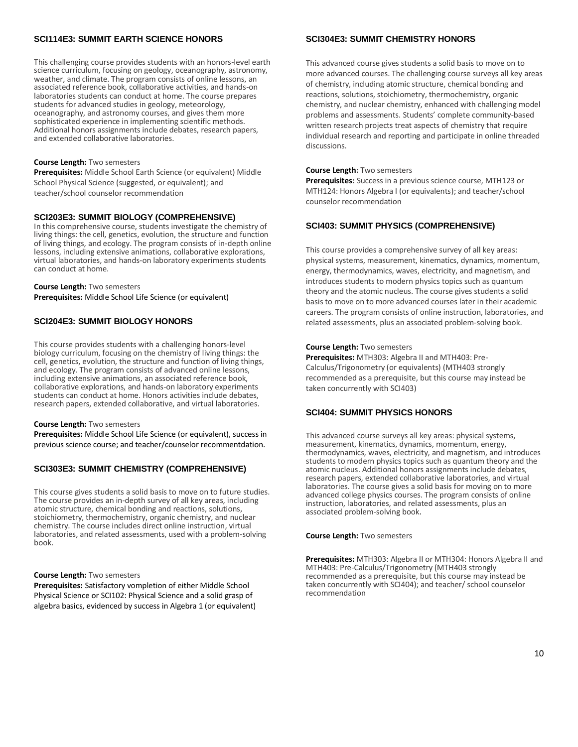#### **SCI114E3: SUMMIT EARTH SCIENCE HONORS**

This challenging course provides students with an honors-level earth science curriculum, focusing on geology, oceanography, astronomy, weather, and climate. The program consists of online lessons, an associated reference book, collaborative activities, and hands-on laboratories students can conduct at home. The course prepares students for advanced studies in geology, meteorology, oceanography, and astronomy courses, and gives them more sophisticated experience in implementing scientific methods. Additional honors assignments include debates, research papers, and extended collaborative laboratories.

#### **Course Length:** Two semesters

**Prerequisites:** Middle School Earth Science (or equivalent) Middle School Physical Science (suggested, or equivalent); and teacher/school counselor recommendation

#### **SCI203E3: SUMMIT BIOLOGY (COMPREHENSIVE)**

In this comprehensive course, students investigate the chemistry of living things: the cell, genetics, evolution, the structure and function of living things, and ecology. The program consists of in-depth online lessons, including extensive animations, collaborative explorations, virtual laboratories, and hands-on laboratory experiments students can conduct at home.

#### **Course Length:** Two semesters **Prerequisites:** Middle School Life Science (or equivalent)

#### **SCI204E3: SUMMIT BIOLOGY HONORS**

This course provides students with a challenging honors-level biology curriculum, focusing on the chemistry of living things: the cell, genetics, evolution, the structure and function of living things, and ecology. The program consists of advanced online lessons, including extensive animations, an associated reference book, collaborative explorations, and hands-on laboratory experiments students can conduct at home. Honors activities include debates, research papers, extended collaborative, and virtual laboratories.

#### **Course Length:** Two semesters

**Prerequisites:** Middle School Life Science (or equivalent), success in previous science course; and teacher/counselor recommentdation.

#### **SCI303E3: SUMMIT CHEMISTRY (COMPREHENSIVE)**

This course gives students a solid basis to move on to future studies. The course provides an in-depth survey of all key areas, including atomic structure, chemical bonding and reactions, solutions, stoichiometry, thermochemistry, organic chemistry, and nuclear chemistry. The course includes direct online instruction, virtual laboratories, and related assessments, used with a problem-solving book.

#### **Course Length:** Two semesters

**Prerequisites:** Satisfactory vompletion of either Middle School Physical Science or SCI102: Physical Science and a solid grasp of algebra basics, evidenced by success in Algebra 1 (or equivalent)

#### **SCI304E3: SUMMIT CHEMISTRY HONORS**

This advanced course gives students a solid basis to move on to more advanced courses. The challenging course surveys all key areas of chemistry, including atomic structure, chemical bonding and reactions, solutions, stoichiometry, thermochemistry, organic chemistry, and nuclear chemistry, enhanced with challenging model problems and assessments. Students' complete community-based written research projects treat aspects of chemistry that require individual research and reporting and participate in online threaded discussions.

#### **Course Length:** Two semesters

**Prerequisites:** Success in a previous science course, MTH123 or MTH124: Honors Algebra I (or equivalents); and teacher/school counselor recommendation

#### **SCI403: SUMMIT PHYSICS (COMPREHENSIVE)**

This course provides a comprehensive survey of all key areas: physical systems, measurement, kinematics, dynamics, momentum, energy, thermodynamics, waves, electricity, and magnetism, and introduces students to modern physics topics such as quantum theory and the atomic nucleus. The course gives students a solid basis to move on to more advanced courses later in their academic careers. The program consists of online instruction, laboratories, and related assessments, plus an associated problem-solving book.

#### **Course Length:** Two semesters

**Prerequisites:** MTH303: Algebra II and MTH403: Pre-Calculus/Trigonometry (or equivalents) (MTH403 strongly recommended as a prerequisite, but this course may instead be taken concurrently with SCI403)

#### **SCI404: SUMMIT PHYSICS HONORS**

This advanced course surveys all key areas: physical systems, measurement, kinematics, dynamics, momentum, energy, thermodynamics, waves, electricity, and magnetism, and introduces students to modern physics topics such as quantum theory and the atomic nucleus. Additional honors assignments include debates, research papers, extended collaborative laboratories, and virtual laboratories. The course gives a solid basis for moving on to more advanced college physics courses. The program consists of online instruction, laboratories, and related assessments, plus an associated problem-solving book.

#### **Course Length:** Two semesters

**Prerequisites:** MTH303: Algebra II or MTH304: Honors Algebra II and MTH403: Pre-Calculus/Trigonometry (MTH403 strongly recommended as a prerequisite, but this course may instead be taken concurrently with SCI404); and teacher/ school counselor recommendation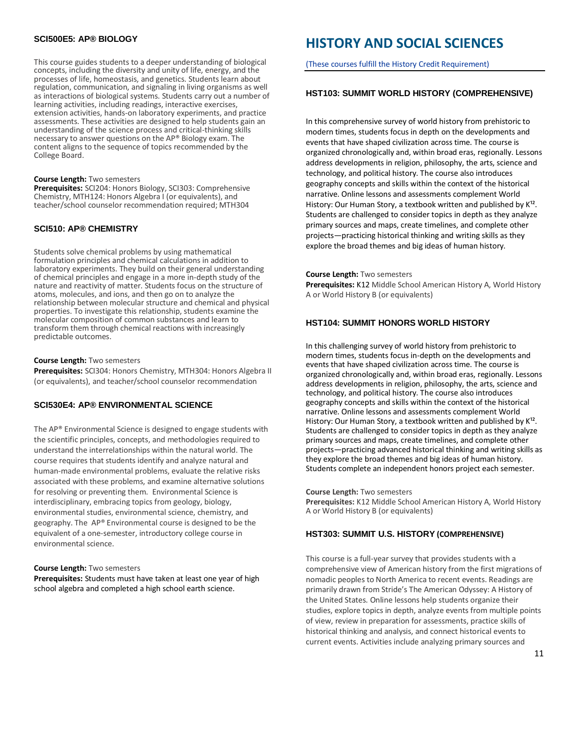#### **SCI500E5: AP® BIOLOGY**

This course guides students to a deeper understanding of biological concepts, including the diversity and unity of life, energy, and the processes of life, homeostasis, and genetics. Students learn about regulation, communication, and signaling in living organisms as well as interactions of biological systems. Students carry out a number of learning activities, including readings, interactive exercises, extension activities, hands-on laboratory experiments, and practice assessments. These activities are designed to help students gain an understanding of the science process and critical-thinking skills necessary to answer questions on the AP® Biology exam. The content aligns to the sequence of topics recommended by the College Board.

#### **Course Length:** Two semesters

**Prerequisites:** SCI204: Honors Biology, SCI303: Comprehensive Chemistry, MTH124: Honors Algebra I (or equivalents), and teacher/school counselor recommendation required; MTH304

#### **SCI510: AP® CHEMISTRY**

Students solve chemical problems by using mathematical formulation principles and chemical calculations in addition to laboratory experiments. They build on their general understanding of chemical principles and engage in a more in-depth study of the nature and reactivity of matter. Students focus on the structure of atoms, molecules, and ions, and then go on to analyze the relationship between molecular structure and chemical and physical properties. To investigate this relationship, students examine the molecular composition of common substances and learn to transform them through chemical reactions with increasingly predictable outcomes.

#### **Course Length:** Two semesters

**Prerequisites:** SCI304: Honors Chemistry, MTH304: Honors Algebra II (or equivalents), and teacher/school counselor recommendation

#### **SCI530E4: AP® ENVIRONMENTAL SCIENCE**

The AP® Environmental Science is designed to engage students with the scientific principles, concepts, and methodologies required to understand the interrelationships within the natural world. The course requires that students identify and analyze natural and human-made environmental problems, evaluate the relative risks associated with these problems, and examine alternative solutions for resolving or preventing them. Environmental Science is interdisciplinary, embracing topics from geology, biology, environmental studies, environmental science, chemistry, and geography. The AP® Environmental course is designed to be the equivalent of a one-semester, introductory college course in environmental science.

#### **Course Length:** Two semesters

**Prerequisites:** Students must have taken at least one year of high school algebra and completed a high school earth science.

## **HISTORY AND SOCIAL SCIENCES**

(These courses fulfill the History Credit Requirement)

#### **HST103: SUMMIT WORLD HISTORY (COMPREHENSIVE)**

In this comprehensive survey of world history from prehistoric to modern times, students focus in depth on the developments and events that have shaped civilization across time. The course is organized chronologically and, within broad eras, regionally. Lessons address developments in religion, philosophy, the arts, science and technology, and political history. The course also introduces geography concepts and skills within the context of the historical narrative. Online lessons and assessments complement World History: Our Human Story, a textbook written and published by  $K^{12}$ . Students are challenged to consider topics in depth as they analyze primary sources and maps, create timelines, and complete other projects—practicing historical thinking and writing skills as they explore the broad themes and big ideas of human history.

**Course Length:** Two semesters **Prerequisites:** K12 Middle School American History A, World History A or World History B (or equivalents)

#### **HST104: SUMMIT HONORS WORLD HISTORY**

In this challenging survey of world history from prehistoric to modern times, students focus in-depth on the developments and events that have shaped civilization across time. The course is organized chronologically and, within broad eras, regionally. Lessons address developments in religion, philosophy, the arts, science and technology, and political history. The course also introduces geography concepts and skills within the context of the historical narrative. Online lessons and assessments complement World History: Our Human Story, a textbook written and published by K<sup>12</sup>. Students are challenged to consider topics in depth as they analyze primary sources and maps, create timelines, and complete other projects—practicing advanced historical thinking and writing skills as they explore the broad themes and big ideas of human history. Students complete an independent honors project each semester.

**Course Length:** Two semesters **Prerequisites:** K12 Middle School American History A, World History A or World History B (or equivalents)

#### **HST303: SUMMIT U.S. HISTORY (COMPREHENSIVE)**

This course is a full-year survey that provides students with a comprehensive view of American history from the first migrations of nomadic peoples to North America to recent events. Readings are primarily drawn from Stride's The American Odyssey: A History of the United States. Online lessons help students organize their studies, explore topics in depth, analyze events from multiple points of view, review in preparation for assessments, practice skills of historical thinking and analysis, and connect historical events to current events. Activities include analyzing primary sources and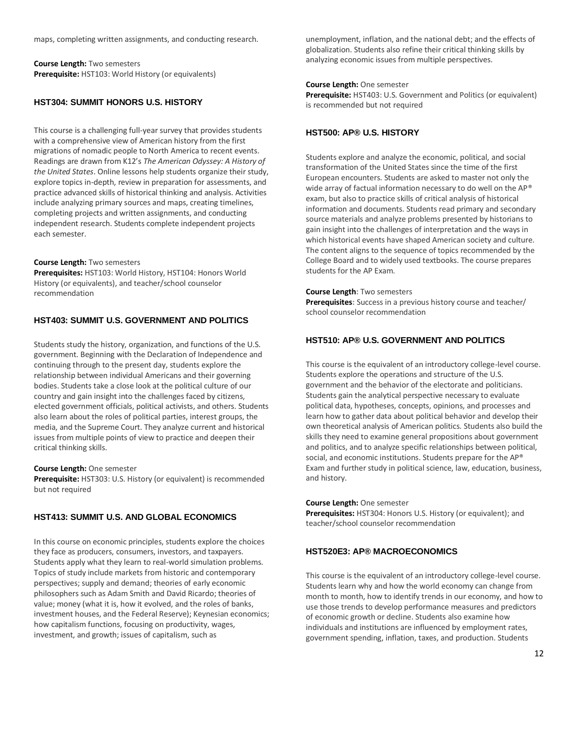maps, completing written assignments, and conducting research.

**Course Length:** Two semesters **Prerequisite:** HST103: World History (or equivalents)

#### **HST304: SUMMIT HONORS U.S. HISTORY**

This course is a challenging full-year survey that provides students with a comprehensive view of American history from the first migrations of nomadic people to North America to recent events. Readings are drawn from K12's *The American Odyssey: A History of the United States*. Online lessons help students organize their study, explore topics in-depth, review in preparation for assessments, and practice advanced skills of historical thinking and analysis. Activities include analyzing primary sources and maps, creating timelines, completing projects and written assignments, and conducting independent research. Students complete independent projects each semester.

**Course Length:** Two semesters

**Prerequisites:** HST103: World History, HST104: Honors World History (or equivalents), and teacher/school counselor recommendation

#### **HST403: SUMMIT U.S. GOVERNMENT AND POLITICS**

Students study the history, organization, and functions of the U.S. government. Beginning with the Declaration of Independence and continuing through to the present day, students explore the relationship between individual Americans and their governing bodies. Students take a close look at the political culture of our country and gain insight into the challenges faced by citizens, elected government officials, political activists, and others. Students also learn about the roles of political parties, interest groups, the media, and the Supreme Court. They analyze current and historical issues from multiple points of view to practice and deepen their critical thinking skills.

#### **Course Length:** One semester

**Prerequisite:** HST303: U.S. History (or equivalent) is recommended but not required

#### **HST413: SUMMIT U.S. AND GLOBAL ECONOMICS**

In this course on economic principles, students explore the choices they face as producers, consumers, investors, and taxpayers. Students apply what they learn to real-world simulation problems. Topics of study include markets from historic and contemporary perspectives; supply and demand; theories of early economic philosophers such as Adam Smith and David Ricardo; theories of value; money (what it is, how it evolved, and the roles of banks, investment houses, and the Federal Reserve); Keynesian economics; how capitalism functions, focusing on productivity, wages, investment, and growth; issues of capitalism, such as

unemployment, inflation, and the national debt; and the effects of globalization. Students also refine their critical thinking skills by analyzing economic issues from multiple perspectives.

#### **Course Length:** One semester

**Prerequisite:** HST403: U.S. Government and Politics (or equivalent) is recommended but not required

#### **HST500: AP® U.S. HISTORY**

Students explore and analyze the economic, political, and social transformation of the United States since the time of the first European encounters. Students are asked to master not only the wide array of factual information necessary to do well on the AP® exam, but also to practice skills of critical analysis of historical information and documents. Students read primary and secondary source materials and analyze problems presented by historians to gain insight into the challenges of interpretation and the ways in which historical events have shaped American society and culture. The content aligns to the sequence of topics recommended by the College Board and to widely used textbooks. The course prepares students for the AP Exam.

#### **Course Length:** Two semesters

**Prerequisites:** Success in a previous history course and teacher/ school counselor recommendation

#### **HST510: AP® U.S. GOVERNMENT AND POLITICS**

This course is the equivalent of an introductory college-level course. Students explore the operations and structure of the U.S. government and the behavior of the electorate and politicians. Students gain the analytical perspective necessary to evaluate political data, hypotheses, concepts, opinions, and processes and learn how to gather data about political behavior and develop their own theoretical analysis of American politics. Students also build the skills they need to examine general propositions about government and politics, and to analyze specific relationships between political, social, and economic institutions. Students prepare for the AP® Exam and further study in political science, law, education, business, and history.

#### **Course Length:** One semester

**Prerequisites:** HST304: Honors U.S. History (or equivalent); and teacher/school counselor recommendation

#### **HST520E3: AP® MACROECONOMICS**

This course is the equivalent of an introductory college-level course. Students learn why and how the world economy can change from month to month, how to identify trends in our economy, and how to use those trends to develop performance measures and predictors of economic growth or decline. Students also examine how individuals and institutions are influenced by employment rates, government spending, inflation, taxes, and production. Students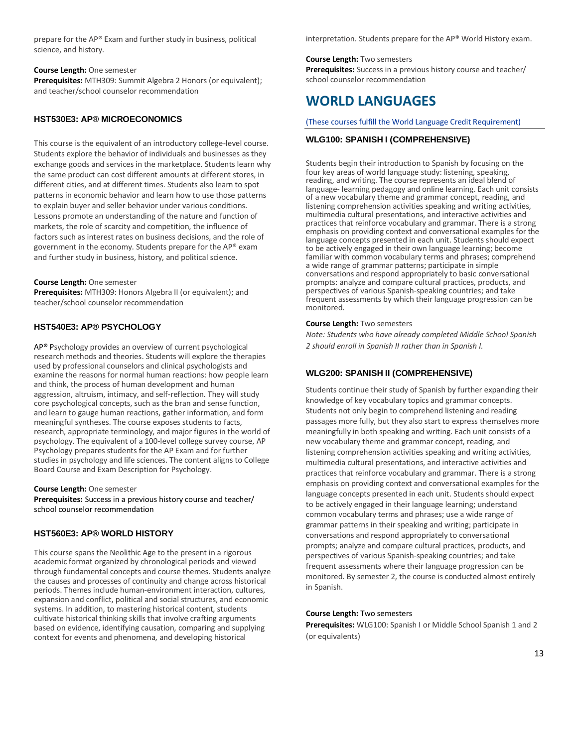prepare for the AP® Exam and further study in business, political science, and history.

#### **Course Length:** One semester

**Prerequisites:** MTH309: Summit Algebra 2 Honors (or equivalent); and teacher/school counselor recommendation

#### **HST530E3: AP® MICROECONOMICS**

This course is the equivalent of an introductory college-level course. Students explore the behavior of individuals and businesses as they exchange goods and services in the marketplace. Students learn why the same product can cost different amounts at different stores, in different cities, and at different times. Students also learn to spot patterns in economic behavior and learn how to use those patterns to explain buyer and seller behavior under various conditions. Lessons promote an understanding of the nature and function of markets, the role of scarcity and competition, the influence of factors such as interest rates on business decisions, and the role of government in the economy. Students prepare for the AP® exam and further study in business, history, and political science.

#### **Course Length:** One semester

**Prerequisites:** MTH309: Honors Algebra II (or equivalent); and teacher/school counselor recommendation

#### **HST540E3: AP® PSYCHOLOGY**

AP**®** Psychology provides an overview of current psychological research methods and theories. Students will explore the therapies used by professional counselors and clinical psychologists and examine the reasons for normal human reactions: how people learn and think, the process of human development and human aggression, altruism, intimacy, and self-reflection. They will study core psychological concepts, such as the bran and sense function, and learn to gauge human reactions, gather information, and form meaningful syntheses. The course exposes students to facts, research, appropriate terminology, and major figures in the world of psychology. The equivalent of a 100-level college survey course, AP Psychology prepares students for the AP Exam and for further studies in psychology and life sciences. The content aligns to College Board Course and Exam Description for Psychology.

#### **Course Length:** One semester

**Prerequisites:** Success in a previous history course and teacher/ school counselor recommendation

#### **HST560E3: AP® WORLD HISTORY**

This course spans the Neolithic Age to the present in a rigorous academic format organized by chronological periods and viewed through fundamental concepts and course themes. Students analyze the causes and processes of continuity and change across historical periods. Themes include human-environment interaction, cultures, expansion and conflict, political and social structures, and economic systems. In addition, to mastering historical content, students cultivate historical thinking skills that involve crafting arguments based on evidence, identifying causation, comparing and supplying context for events and phenomena, and developing historical

interpretation. Students prepare for the AP® World History exam.

#### **Course Length:** Two semesters

**Prerequisites:** Success in a previous history course and teacher/ school counselor recommendation

### **WORLD LANGUAGES**

(These courses fulfill the World Language Credit Requirement)

#### **WLG100: SPANISH I (COMPREHENSIVE)**

Students begin their introduction to Spanish by focusing on the four key areas of world language study: listening, speaking, reading, and writing. The course represents an ideal blend of language- learning pedagogy and online learning. Each unit consists of a new vocabulary theme and grammar concept, reading, and listening comprehension activities speaking and writing activities, multimedia cultural presentations, and interactive activities and practices that reinforce vocabulary and grammar. There is a strong emphasis on providing context and conversational examples for the language concepts presented in each unit. Students should expect to be actively engaged in their own language learning; become familiar with common vocabulary terms and phrases; comprehend a wide range of grammar patterns; participate in simple conversations and respond appropriately to basic conversational prompts: analyze and compare cultural practices, products, and perspectives of various Spanish-speaking countries; and take frequent assessments by which their language progression can be monitored.

#### **Course Length:** Two semesters

*Note: Students who have already completed Middle School Spanish 2 should enroll in Spanish II rather than in Spanish I.*

#### **WLG200: SPANISH II (COMPREHENSIVE)**

Students continue their study of Spanish by further expanding their knowledge of key vocabulary topics and grammar concepts. Students not only begin to comprehend listening and reading passages more fully, but they also start to express themselves more meaningfully in both speaking and writing. Each unit consists of a new vocabulary theme and grammar concept, reading, and listening comprehension activities speaking and writing activities, multimedia cultural presentations, and interactive activities and practices that reinforce vocabulary and grammar. There is a strong emphasis on providing context and conversational examples for the language concepts presented in each unit. Students should expect to be actively engaged in their language learning; understand common vocabulary terms and phrases; use a wide range of grammar patterns in their speaking and writing; participate in conversations and respond appropriately to conversational prompts; analyze and compare cultural practices, products, and perspectives of various Spanish-speaking countries; and take frequent assessments where their language progression can be monitored. By semester 2, the course is conducted almost entirely in Spanish.

#### **Course Length:** Two semesters

**Prerequisites:** WLG100: Spanish I or Middle School Spanish 1 and 2 (or equivalents)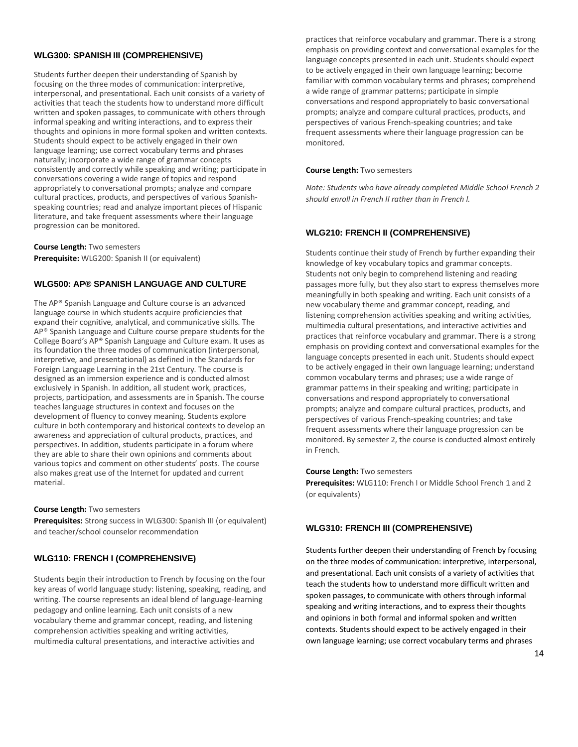#### **WLG300: SPANISH III (COMPREHENSIVE)**

Students further deepen their understanding of Spanish by focusing on the three modes of communication: interpretive, interpersonal, and presentational. Each unit consists of a variety of activities that teach the students how to understand more difficult written and spoken passages, to communicate with others through informal speaking and writing interactions, and to express their thoughts and opinions in more formal spoken and written contexts. Students should expect to be actively engaged in their own language learning; use correct vocabulary terms and phrases naturally; incorporate a wide range of grammar concepts consistently and correctly while speaking and writing; participate in conversations covering a wide range of topics and respond appropriately to conversational prompts; analyze and compare cultural practices, products, and perspectives of various Spanishspeaking countries; read and analyze important pieces of Hispanic literature, and take frequent assessments where their language progression can be monitored.

**Course Length:** Two semesters **Prerequisite:** WLG200: Spanish II (or equivalent)

#### **WLG500: AP® SPANISH LANGUAGE AND CULTURE**

The AP® Spanish Language and Culture course is an advanced language course in which students acquire proficiencies that expand their cognitive, analytical, and communicative skills. The AP® Spanish Language and Culture course prepare students for the College Board's AP® Spanish Language and Culture exam. It uses as its foundation the three modes of communication (interpersonal, interpretive, and presentational) as defined in the Standards for Foreign Language Learning in the 21st Century. The course is designed as an immersion experience and is conducted almost exclusively in Spanish. In addition, all student work, practices, projects, participation, and assessments are in Spanish. The course teaches language structures in context and focuses on the development of fluency to convey meaning. Students explore culture in both contemporary and historical contexts to develop an awareness and appreciation of cultural products, practices, and perspectives. In addition, students participate in a forum where they are able to share their own opinions and comments about various topics and comment on other students' posts. The course also makes great use of the Internet for updated and current material.

#### **Course Length:** Two semesters

**Prerequisites:** Strong success in WLG300: Spanish III (or equivalent) and teacher/school counselor recommendation

#### **WLG110: FRENCH I (COMPREHENSIVE)**

Students begin their introduction to French by focusing on the four key areas of world language study: listening, speaking, reading, and writing. The course represents an ideal blend of language-learning pedagogy and online learning. Each unit consists of a new vocabulary theme and grammar concept, reading, and listening comprehension activities speaking and writing activities, multimedia cultural presentations, and interactive activities and

practices that reinforce vocabulary and grammar. There is a strong emphasis on providing context and conversational examples for the language concepts presented in each unit. Students should expect to be actively engaged in their own language learning; become familiar with common vocabulary terms and phrases; comprehend a wide range of grammar patterns; participate in simple conversations and respond appropriately to basic conversational prompts; analyze and compare cultural practices, products, and perspectives of various French-speaking countries; and take frequent assessments where their language progression can be monitored.

#### **Course Length:** Two semesters

*Note: Students who have already completed Middle School French 2 should enroll in French II rather than in French I.*

#### **WLG210: FRENCH II (COMPREHENSIVE)**

Students continue their study of French by further expanding their knowledge of key vocabulary topics and grammar concepts. Students not only begin to comprehend listening and reading passages more fully, but they also start to express themselves more meaningfully in both speaking and writing. Each unit consists of a new vocabulary theme and grammar concept, reading, and listening comprehension activities speaking and writing activities, multimedia cultural presentations, and interactive activities and practices that reinforce vocabulary and grammar. There is a strong emphasis on providing context and conversational examples for the language concepts presented in each unit. Students should expect to be actively engaged in their own language learning; understand common vocabulary terms and phrases; use a wide range of grammar patterns in their speaking and writing; participate in conversations and respond appropriately to conversational prompts; analyze and compare cultural practices, products, and perspectives of various French-speaking countries; and take frequent assessments where their language progression can be monitored. By semester 2, the course is conducted almost entirely in French.

#### **Course Length:** Two semesters

**Prerequisites:** WLG110: French I or Middle School French 1 and 2 (or equivalents)

#### **WLG310: FRENCH III (COMPREHENSIVE)**

Students further deepen their understanding of French by focusing on the three modes of communication: interpretive, interpersonal, and presentational. Each unit consists of a variety of activities that teach the students how to understand more difficult written and spoken passages, to communicate with others through informal speaking and writing interactions, and to express their thoughts and opinions in both formal and informal spoken and written contexts. Students should expect to be actively engaged in their own language learning; use correct vocabulary terms and phrases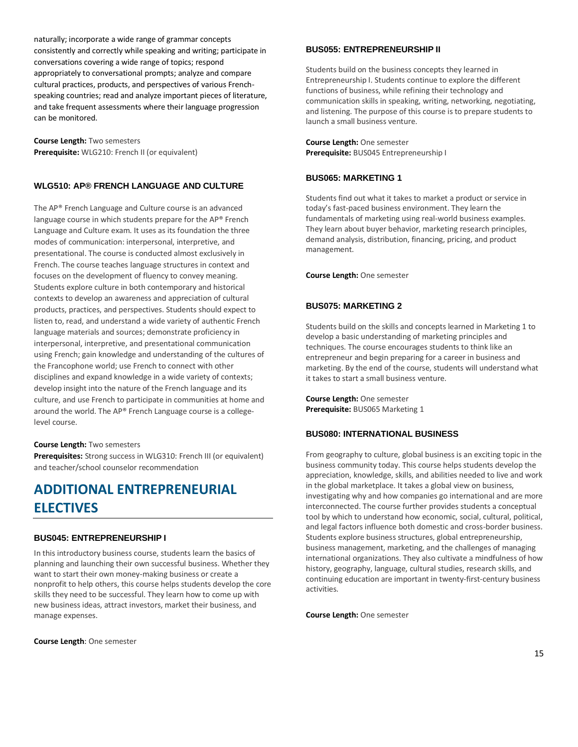naturally; incorporate a wide range of grammar concepts consistently and correctly while speaking and writing; participate in conversations covering a wide range of topics; respond appropriately to conversational prompts; analyze and compare cultural practices, products, and perspectives of various Frenchspeaking countries; read and analyze important pieces of literature, and take frequent assessments where their language progression can be monitored.

**Course Length:** Two semesters **Prerequisite:** WLG210: French II (or equivalent)

#### **WLG510: AP® FRENCH LANGUAGE AND CULTURE**

The AP® French Language and Culture course is an advanced language course in which students prepare for the AP® French Language and Culture exam. It uses as its foundation the three modes of communication: interpersonal, interpretive, and presentational. The course is conducted almost exclusively in French. The course teaches language structures in context and focuses on the development of fluency to convey meaning. Students explore culture in both contemporary and historical contexts to develop an awareness and appreciation of cultural products, practices, and perspectives. Students should expect to listen to, read, and understand a wide variety of authentic French language materials and sources; demonstrate proficiency in interpersonal, interpretive, and presentational communication using French; gain knowledge and understanding of the cultures of the Francophone world; use French to connect with other disciplines and expand knowledge in a wide variety of contexts; develop insight into the nature of the French language and its culture, and use French to participate in communities at home and around the world. The AP® French Language course is a collegelevel course.

#### **Course Length:** Two semesters

**Prerequisites:** Strong success in WLG310: French III (or equivalent) and teacher/school counselor recommendation

## **ADDITIONAL ENTREPRENEURIAL ELECTIVES**

#### **BUS045: ENTREPRENEURSHIP I**

In this introductory business course, students learn the basics of planning and launching their own successful business. Whether they want to start their own money-making business or create a nonprofit to help others, this course helps students develop the core skills they need to be successful. They learn how to come up with new business ideas, attract investors, market their business, and manage expenses.

**Course Length**: One semester

#### **BUS055: ENTREPRENEURSHIP II**

Students build on the business concepts they learned in Entrepreneurship I. Students continue to explore the different functions of business, while refining their technology and communication skills in speaking, writing, networking, negotiating, and listening. The purpose of this course is to prepare students to launch a small business venture.

**Course Length:** One semester **Prerequisite:** BUS045 Entrepreneurship I

#### **BUS065: MARKETING 1**

Students find out what it takes to market a product or service in today's fast-paced business environment. They learn the fundamentals of marketing using real-world business examples. They learn about buyer behavior, marketing research principles, demand analysis, distribution, financing, pricing, and product management.

**Course Length:** One semester

#### **BUS075: MARKETING 2**

Students build on the skills and concepts learned in Marketing 1 to develop a basic understanding of marketing principles and techniques. The course encourages students to think like an entrepreneur and begin preparing for a career in business and marketing. By the end of the course, students will understand what it takes to start a small business venture.

**Course Length:** One semester **Prerequisite:** BUS065 Marketing 1

#### **BUS080: INTERNATIONAL BUSINESS**

From geography to culture, global business is an exciting topic in the business community today. This course helps students develop the appreciation, knowledge, skills, and abilities needed to live and work in the global marketplace. It takes a global view on business, investigating why and how companies go international and are more interconnected. The course further provides students a conceptual tool by which to understand how economic, social, cultural, political, and legal factors influence both domestic and cross-border business. Students explore business structures, global entrepreneurship, business management, marketing, and the challenges of managing international organizations. They also cultivate a mindfulness of how history, geography, language, cultural studies, research skills, and continuing education are important in twenty-first-century business activities.

**Course Length:** One semester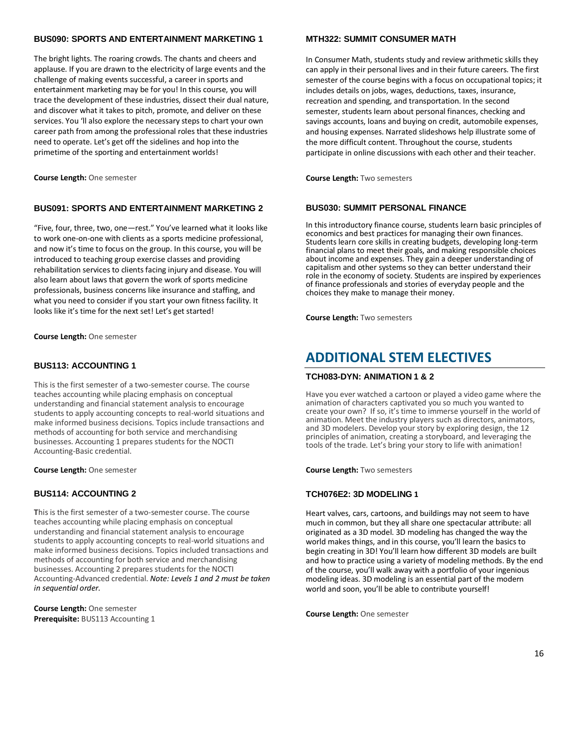#### **BUS090: SPORTS AND ENTERTAINMENT MARKETING 1**

The bright lights. The roaring crowds. The chants and cheers and applause. If you are drawn to the electricity of large events and the challenge of making events successful, a career in sports and entertainment marketing may be for you! In this course, you will trace the development of these industries, dissect their dual nature, and discover what it takes to pitch, promote, and deliver on these services. You 'll also explore the necessary steps to chart your own career path from among the professional roles that these industries need to operate. Let's get off the sidelines and hop into the primetime of the sporting and entertainment worlds!

**Course Length:** One semester

#### **BUS091: SPORTS AND ENTERTAINMENT MARKETING 2**

"Five, four, three, two, one—rest." You've learned what it looks like to work one-on-one with clients as a sports medicine professional, and now it's time to focus on the group. In this course, you will be introduced to teaching group exercise classes and providing rehabilitation services to clients facing injury and disease. You will also learn about laws that govern the work of sports medicine professionals, business concerns like insurance and staffing, and what you need to consider if you start your own fitness facility. It looks like it's time for the next set! Let's get started!

**Course Length:** One semester

#### **BUS113: ACCOUNTING 1**

This is the first semester of a two-semester course. The course teaches accounting while placing emphasis on conceptual understanding and financial statement analysis to encourage students to apply accounting concepts to real-world situations and make informed business decisions. Topics include transactions and methods of accounting for both service and merchandising businesses. Accounting 1 prepares students for the NOCTI Accounting-Basic credential.

**Course Length:** One semester

#### **BUS114: ACCOUNTING 2**

**T**his is the first semester of a two-semester course. The course teaches accounting while placing emphasis on conceptual understanding and financial statement analysis to encourage students to apply accounting concepts to real-world situations and make informed business decisions. Topics included transactions and methods of accounting for both service and merchandising businesses. Accounting 2 prepares students for the NOCTI Accounting-Advanced credential. *Note: Levels 1 and 2 must be taken in sequential order.* 

**Course Length:** One semester **Prerequisite:** BUS113 Accounting 1

#### **MTH322: SUMMIT CONSUMER MATH**

In Consumer Math, students study and review arithmetic skills they can apply in their personal lives and in their future careers. The first semester of the course begins with a focus on occupational topics; it includes details on jobs, wages, deductions, taxes, insurance, recreation and spending, and transportation. In the second semester, students learn about personal finances, checking and savings accounts, loans and buying on credit, automobile expenses, and housing expenses. Narrated slideshows help illustrate some of the more difficult content. Throughout the course, students participate in online discussions with each other and their teacher.

**Course Length:** Two semesters

#### **BUS030: SUMMIT PERSONAL FINANCE**

In this introductory finance course, students learn basic principles of economics and best practices for managing their own finances. Students learn core skills in creating budgets, developing long-term financial plans to meet their goals, and making responsible choices about income and expenses. They gain a deeper understanding of capitalism and other systems so they can better understand their role in the economy of society. Students are inspired by experiences of finance professionals and stories of everyday people and the choices they make to manage their money.

**Course Length:** Two semesters

### **ADDITIONAL STEM ELECTIVES**

#### **TCH083-DYN: ANIMATION 1 & 2**

Have you ever watched a cartoon or played a video game where the animation of characters captivated you so much you wanted to create your own? If so, it's time to immerse yourself in the world of animation. Meet the industry players such as directors, animators, and 3D modelers. Develop your story by exploring design, the 12 principles of animation, creating a storyboard, and leveraging the tools of the trade. Let's bring your story to life with animation!

**Course Length:** Two semesters

#### **TCH076E2: 3D MODELING 1**

Heart valves, cars, cartoons, and buildings may not seem to have much in common, but they all share one spectacular attribute: all originated as a 3D model. 3D modeling has changed the way the world makes things, and in this course, you'll learn the basics to begin creating in 3D! You'll learn how different 3D models are built and how to practice using a variety of modeling methods. By the end of the course, you'll walk away with a portfolio of your ingenious modeling ideas. 3D modeling is an essential part of the modern world and soon, you'll be able to contribute yourself!

**Course Length:** One semester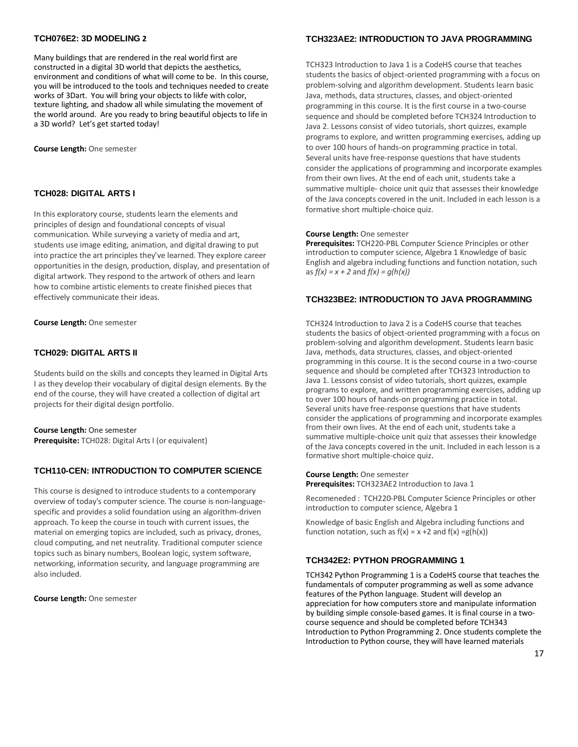#### **TCH076E2: 3D MODELING 2**

Many buildings that are rendered in the real world first are constructed in a digital 3D world that depicts the aesthetics, environment and conditions of what will come to be. In this course, you will be introduced to the tools and techniques needed to create works of 3Dart. You will bring your objects to likfe with color, texture lighting, and shadow all while simulating the movement of the world around. Are you ready to bring beautiful objects to life in a 3D world? Let's get started today!

**Course Length:** One semester

#### **TCH028: DIGITAL ARTS I**

In this exploratory course, students learn the elements and principles of design and foundational concepts of visual communication. While surveying a variety of media and art, students use image editing, animation, and digital drawing to put into practice the art principles they've learned. They explore career opportunities in the design, production, display, and presentation of digital artwork. They respond to the artwork of others and learn how to combine artistic elements to create finished pieces that effectively communicate their ideas.

**Course Length:** One semester

#### **TCH029: DIGITAL ARTS II**

Students build on the skills and concepts they learned in Digital Arts I as they develop their vocabulary of digital design elements. By the end of the course, they will have created a collection of digital art projects for their digital design portfolio.

#### **Course Length:** One semester

**Prerequisite:** TCH028: Digital Arts I (or equivalent)

#### **TCH110-CEN: INTRODUCTION TO COMPUTER SCIENCE**

This course is designed to introduce students to a contemporary overview of today's computer science. The course is non-languagespecific and provides a solid foundation using an algorithm-driven approach. To keep the course in touch with current issues, the material on emerging topics are included, such as privacy, drones, cloud computing, and net neutrality. Traditional computer science topics such as binary numbers, Boolean logic, system software, networking, information security, and language programming are also included.

**Course Length:** One semester

#### **TCH323AE2: INTRODUCTION TO JAVA PROGRAMMING**

TCH323 Introduction to Java 1 is a CodeHS course that teaches students the basics of object-oriented programming with a focus on problem-solving and algorithm development. Students learn basic Java, methods, data structures, classes, and object-oriented programming in this course. It is the first course in a two-course sequence and should be completed before TCH324 Introduction to Java 2. Lessons consist of video tutorials, short quizzes, example programs to explore, and written programming exercises, adding up to over 100 hours of hands-on programming practice in total. Several units have free-response questions that have students consider the applications of programming and incorporate examples from their own lives. At the end of each unit, students take a summative multiple- choice unit quiz that assesses their knowledge of the Java concepts covered in the unit. Included in each lesson is a formative short multiple-choice quiz.

#### **Course Length:** One semester

**Prerequisites:** TCH220-PBL Computer Science Principles or other introduction to computer science, Algebra 1 Knowledge of basic English and algebra including functions and function notation, such as *f(x) = x + 2* and *f(x) = g(h(x))*

#### **TCH323BE2: INTRODUCTION TO JAVA PROGRAMMING**

TCH324 Introduction to Java 2 is a CodeHS course that teaches students the basics of object-oriented programming with a focus on problem-solving and algorithm development. Students learn basic Java, methods, data structures, classes, and object-oriented programming in this course. It is the second course in a two-course sequence and should be completed after TCH323 Introduction to Java 1. Lessons consist of video tutorials, short quizzes, example programs to explore, and written programming exercises, adding up to over 100 hours of hands-on programming practice in total. Several units have free-response questions that have students consider the applications of programming and incorporate examples from their own lives. At the end of each unit, students take a summative multiple-choice unit quiz that assesses their knowledge of the Java concepts covered in the unit. Included in each lesson is a formative short multiple-choice quiz.

**Course Length:** One semester **Prerequisites:** TCH323AE2 Introduction to Java 1

Recomeneded : TCH220-PBL Computer Science Principles or other introduction to computer science, Algebra 1

Knowledge of basic English and Algebra including functions and function notation, such as  $f(x) = x + 2$  and  $f(x) = g(h(x))$ 

#### **TCH342E2: PYTHON PROGRAMMING 1**

TCH342 Python Programming 1 is a CodeHS course that teaches the fundamentals of computer programming as well as some advance features of the Python language. Student will develop an appreciation for how computers store and manipulate information by building simple console-based games. It is final course in a twocourse sequence and should be completed before TCH343 Introduction to Python Programming 2. Once students complete the Introduction to Python course, they will have learned materials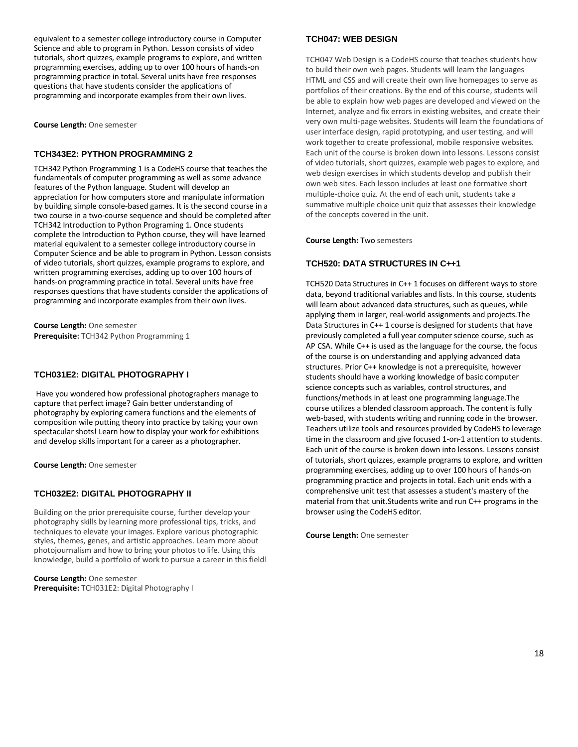equivalent to a semester college introductory course in Computer Science and able to program in Python. Lesson consists of video tutorials, short quizzes, example programs to explore, and written programming exercises, adding up to over 100 hours of hands-on programming practice in total. Several units have free responses questions that have students consider the applications of programming and incorporate examples from their own lives.

**Course Length:** One semester

#### **TCH343E2: PYTHON PROGRAMMING 2**

TCH342 Python Programming 1 is a CodeHS course that teaches the fundamentals of computer programming as well as some advance features of the Python language. Student will develop an appreciation for how computers store and manipulate information by building simple console-based games. It is the second course in a two course in a two-course sequence and should be completed after TCH342 Introduction to Python Programing 1. Once students complete the Introduction to Python course, they will have learned material equivalent to a semester college introductory course in Computer Science and be able to program in Python. Lesson consists of video tutorials, short quizzes, example programs to explore, and written programming exercises, adding up to over 100 hours of hands-on programming practice in total. Several units have free responses questions that have students consider the applications of programming and incorporate examples from their own lives.

**Course Length:** One semester **Prerequisite:** TCH342 Python Programming 1

#### **TCH031E2: DIGITAL PHOTOGRAPHY I**

Have you wondered how professional photographers manage to capture that perfect image? Gain better understanding of photography by exploring camera functions and the elements of composition wile putting theory into practice by taking your own spectacular shots! Learn how to display your work for exhibitions and develop skills important for a career as a photographer.

**Course Length:** One semester

#### **TCH032E2: DIGITAL PHOTOGRAPHY II**

Building on the prior prerequisite course, further develop your photography skills by learning more professional tips, tricks, and techniques to elevate your images. Explore various photographic styles, themes, genes, and artistic approaches. Learn more about photojournalism and how to bring your photos to life. Using this knowledge, build a portfolio of work to pursue a career in this field!

**Course Length:** One semester **Prerequisite:** TCH031E2: Digital Photography I

#### **TCH047: WEB DESIGN**

TCH047 Web Design is a CodeHS course that teaches students how to build their own web pages. Students will learn the languages HTML and CSS and will create their own live homepages to serve as portfolios of their creations. By the end of this course, students will be able to explain how web pages are developed and viewed on the Internet, analyze and fix errors in existing websites, and create their very own multi-page websites. Students will learn the foundations of user interface design, rapid prototyping, and user testing, and will work together to create professional, mobile responsive websites. Each unit of the course is broken down into lessons. Lessons consist of video tutorials, short quizzes, example web pages to explore, and web design exercises in which students develop and publish their own web sites. Each lesson includes at least one formative short multiple-choice quiz. At the end of each unit, students take a summative multiple choice unit quiz that assesses their knowledge of the concepts covered in the unit.

**Course Length:** Two semesters

#### **TCH520: DATA STRUCTURES IN C++1**

TCH520 Data Structures in C++ 1 focuses on different ways to store data, beyond traditional variables and lists. In this course, students will learn about advanced data structures, such as queues, while applying them in larger, real-world assignments and projects.The Data Structures in C++ 1 course is designed for students that have previously completed a full year computer science course, such as AP CSA. While C++ is used as the language for the course, the focus of the course is on understanding and applying advanced data structures. Prior C++ knowledge is not a prerequisite, however students should have a working knowledge of basic computer science concepts such as variables, control structures, and functions/methods in at least one programming language.The course utilizes a blended classroom approach. The content is fully web-based, with students writing and running code in the browser. Teachers utilize tools and resources provided by CodeHS to leverage time in the classroom and give focused 1-on-1 attention to students. Each unit of the course is broken down into lessons. Lessons consist of tutorials, short quizzes, example programs to explore, and written programming exercises, adding up to over 100 hours of hands-on programming practice and projects in total. Each unit ends with a comprehensive unit test that assesses a student's mastery of the material from that unit.Students write and run C++ programs in the browser using the CodeHS editor.

**Course Length:** One semester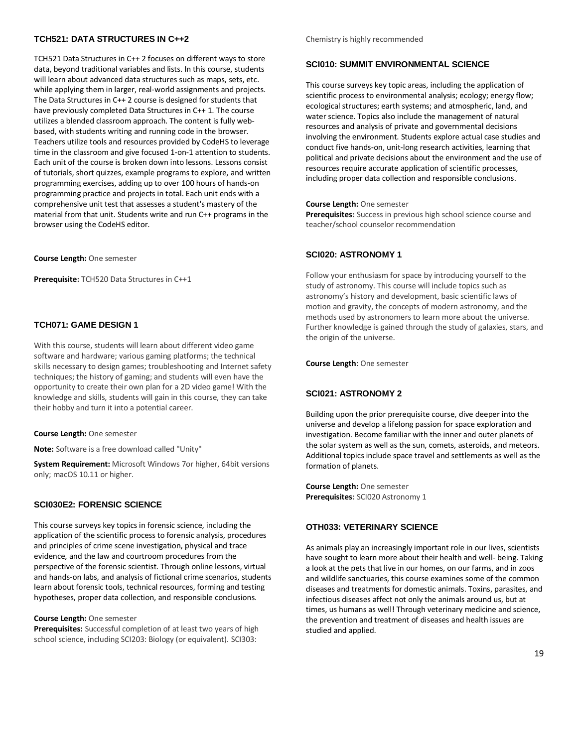#### **TCH521: DATA STRUCTURES IN C++2**

TCH521 Data Structures in C++ 2 focuses on different ways to store data, beyond traditional variables and lists. In this course, students will learn about advanced data structures such as maps, sets, etc. while applying them in larger, real-world assignments and projects. The Data Structures in C++ 2 course is designed for students that have previously completed Data Structures in C++ 1. The course utilizes a blended classroom approach. The content is fully webbased, with students writing and running code in the browser. Teachers utilize tools and resources provided by CodeHS to leverage time in the classroom and give focused 1-on-1 attention to students. Each unit of the course is broken down into lessons. Lessons consist of tutorials, short quizzes, example programs to explore, and written programming exercises, adding up to over 100 hours of hands-on programming practice and projects in total. Each unit ends with a comprehensive unit test that assesses a student's mastery of the material from that unit. Students write and run C++ programs in the browser using the CodeHS editor.

**Course Length:** One semester

**Prerequisite:** TCH520 Data Structures in C++1

#### **TCH071: GAME DESIGN 1**

With this course, students will learn about different video game software and hardware; various gaming platforms; the technical skills necessary to design games; troubleshooting and Internet safety techniques; the history of gaming; and students will even have the opportunity to create their own plan for a 2D video game! With the knowledge and skills, students will gain in this course, they can take their hobby and turn it into a potential career.

#### **Course Length:** One semester

**Note:** Software is a free download called "Unity"

**System Requirement:** Microsoft Windows 7or higher, 64bit versions only; macOS 10.11 or higher.

#### **SCI030E2: FORENSIC SCIENCE**

This course surveys key topics in forensic science, including the application of the scientific process to forensic analysis, procedures and principles of crime scene investigation, physical and trace evidence, and the law and courtroom procedures from the perspective of the forensic scientist. Through online lessons, virtual and hands-on labs, and analysis of fictional crime scenarios, students learn about forensic tools, technical resources, forming and testing hypotheses, proper data collection, and responsible conclusions.

#### **Course Length:** One semester

**Prerequisites:** Successful completion of at least two years of high school science, including SCI203: Biology (or equivalent). SCI303:

#### Chemistry is highly recommended

#### **SCI010: SUMMIT ENVIRONMENTAL SCIENCE**

This course surveys key topic areas, including the application of scientific process to environmental analysis; ecology; energy flow; ecological structures; earth systems; and atmospheric, land, and water science. Topics also include the management of natural resources and analysis of private and governmental decisions involving the environment. Students explore actual case studies and conduct five hands-on, unit-long research activities, learning that political and private decisions about the environment and the use of resources require accurate application of scientific processes, including proper data collection and responsible conclusions.

#### **Course Length:** One semester

**Prerequisites:** Success in previous high school science course and teacher/school counselor recommendation

#### **SCI020: ASTRONOMY 1**

Follow your enthusiasm for space by introducing yourself to the study of astronomy. This course will include topics such as astronomy's history and development, basic scientific laws of motion and gravity, the concepts of modern astronomy, and the methods used by astronomers to learn more about the universe. Further knowledge is gained through the study of galaxies, stars, and the origin of the universe.

**Course Length**: One semester

#### **SCI021: ASTRONOMY 2**

Building upon the prior prerequisite course, dive deeper into the universe and develop a lifelong passion for space exploration and investigation. Become familiar with the inner and outer planets of the solar system as well as the sun, comets, asteroids, and meteors. Additional topics include space travel and settlements as well as the formation of planets.

**Course Length:** One semester **Prerequisites:** SCI020 Astronomy 1

#### **OTH033: VETERINARY SCIENCE**

As animals play an increasingly important role in our lives, scientists have sought to learn more about their health and well- being. Taking a look at the pets that live in our homes, on our farms, and in zoos and wildlife sanctuaries, this course examines some of the common diseases and treatments for domestic animals. Toxins, parasites, and infectious diseases affect not only the animals around us, but at times, us humans as well! Through veterinary medicine and science, the prevention and treatment of diseases and health issues are studied and applied.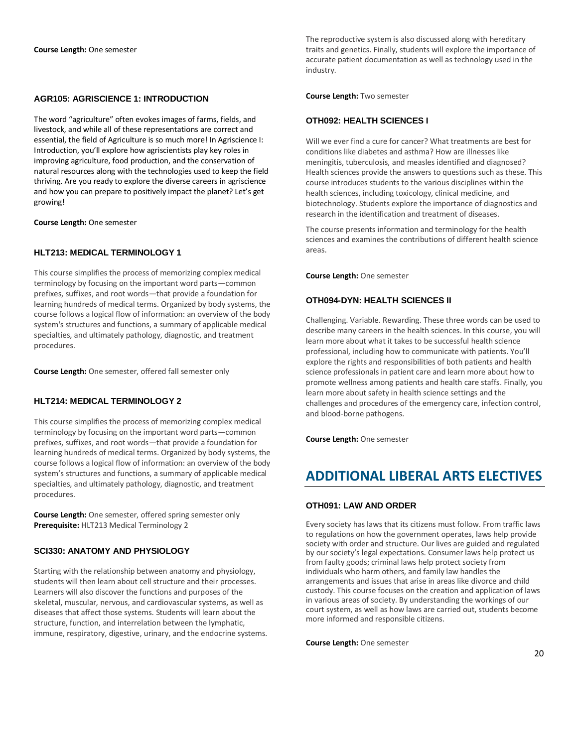#### **AGR105: AGRISCIENCE 1: INTRODUCTION**

The word "agriculture" often evokes images of farms, fields, and livestock, and while all of these representations are correct and essential, the field of Agriculture is so much more! In Agriscience I: Introduction, you'll explore how agriscientists play key roles in improving agriculture, food production, and the conservation of natural resources along with the technologies used to keep the field thriving. Are you ready to explore the diverse careers in agriscience and how you can prepare to positively impact the planet? Let's get growing!

**Course Length:** One semester

#### **HLT213: MEDICAL TERMINOLOGY 1**

This course simplifies the process of memorizing complex medical terminology by focusing on the important word parts—common prefixes, suffixes, and root words—that provide a foundation for learning hundreds of medical terms. Organized by body systems, the course follows a logical flow of information: an overview of the body system's structures and functions, a summary of applicable medical specialties, and ultimately pathology, diagnostic, and treatment procedures.

**Course Length:** One semester, offered fall semester only

#### **HLT214: MEDICAL TERMINOLOGY 2**

This course simplifies the process of memorizing complex medical terminology by focusing on the important word parts—common prefixes, suffixes, and root words—that provide a foundation for learning hundreds of medical terms. Organized by body systems, the course follows a logical flow of information: an overview of the body system's structures and functions, a summary of applicable medical specialties, and ultimately pathology, diagnostic, and treatment procedures.

**Course Length:** One semester, offered spring semester only **Prerequisite:** HLT213 Medical Terminology 2

#### **SCI330: ANATOMY AND PHYSIOLOGY**

Starting with the relationship between anatomy and physiology, students will then learn about cell structure and their processes. Learners will also discover the functions and purposes of the skeletal, muscular, nervous, and cardiovascular systems, as well as diseases that affect those systems. Students will learn about the structure, function, and interrelation between the lymphatic, immune, respiratory, digestive, urinary, and the endocrine systems. The reproductive system is also discussed along with hereditary traits and genetics. Finally, students will explore the importance of accurate patient documentation as well as technology used in the industry.

**Course Length:** Two semester

#### **OTH092: HEALTH SCIENCES I**

Will we ever find a cure for cancer? What treatments are best for conditions like diabetes and asthma? How are illnesses like meningitis, tuberculosis, and measles identified and diagnosed? Health sciences provide the answers to questions such as these. This course introduces students to the various disciplines within the health sciences, including toxicology, clinical medicine, and biotechnology. Students explore the importance of diagnostics and research in the identification and treatment of diseases.

The course presents information and terminology for the health sciences and examines the contributions of different health science areas.

**Course Length:** One semester

#### **OTH094-DYN: HEALTH SCIENCES II**

Challenging. Variable. Rewarding. These three words can be used to describe many careers in the health sciences. In this course, you will learn more about what it takes to be successful health science professional, including how to communicate with patients. You'll explore the rights and responsibilities of both patients and health science professionals in patient care and learn more about how to promote wellness among patients and health care staffs. Finally, you learn more about safety in health science settings and the challenges and procedures of the emergency care, infection control, and blood-borne pathogens.

**Course Length:** One semester

## **ADDITIONAL LIBERAL ARTS ELECTIVES**

#### **OTH091: LAW AND ORDER**

Every society has laws that its citizens must follow. From traffic laws to regulations on how the government operates, laws help provide society with order and structure. Our lives are guided and regulated by our society's legal expectations. Consumer laws help protect us from faulty goods; criminal laws help protect society from individuals who harm others, and family law handles the arrangements and issues that arise in areas like divorce and child custody. This course focuses on the creation and application of laws in various areas of society. By understanding the workings of our court system, as well as how laws are carried out, students become more informed and responsible citizens.

**Course Length:** One semester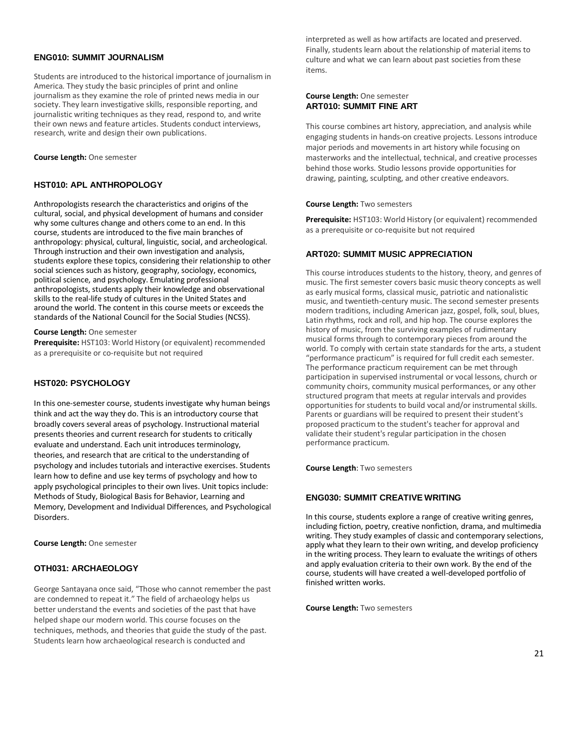#### **ENG010: SUMMIT JOURNALISM**

Students are introduced to the historical importance of journalism in America. They study the basic principles of print and online journalism as they examine the role of printed news media in our society. They learn investigative skills, responsible reporting, and journalistic writing techniques as they read, respond to, and write their own news and feature articles. Students conduct interviews, research, write and design their own publications.

#### **Course Length:** One semester

#### **HST010: APL ANTHROPOLOGY**

Anthropologists research the characteristics and origins of the cultural, social, and physical development of humans and consider why some cultures change and others come to an end. In this course, students are introduced to the five main branches of anthropology: physical, cultural, linguistic, social, and archeological. Through instruction and their own investigation and analysis, students explore these topics, considering their relationship to other social sciences such as history, geography, sociology, economics, political science, and psychology. Emulating professional anthropologists, students apply their knowledge and observational skills to the real-life study of cultures in the United States and around the world. The content in this course meets or exceeds the standards of the National Council for the Social Studies (NCSS).

**Course Length:** One semester

**Prerequisite:** HST103: World History (or equivalent) recommended as a prerequisite or co-requisite but not required

#### **HST020: PSYCHOLOGY**

In this one-semester course, students investigate why human beings think and act the way they do. This is an introductory course that broadly covers several areas of psychology. Instructional material presents theories and current research for students to critically evaluate and understand. Each unit introduces terminology, theories, and research that are critical to the understanding of psychology and includes tutorials and interactive exercises. Students learn how to define and use key terms of psychology and how to apply psychological principles to their own lives. Unit topics include: Methods of Study, Biological Basis for Behavior, Learning and Memory, Development and Individual Differences, and Psychological Disorders.

**Course Length:** One semester

#### **OTH031: ARCHAEOLOGY**

George Santayana once said, "Those who cannot remember the past are condemned to repeat it." The field of archaeology helps us better understand the events and societies of the past that have helped shape our modern world. This course focuses on the techniques, methods, and theories that guide the study of the past. Students learn how archaeological research is conducted and

interpreted as well as how artifacts are located and preserved. Finally, students learn about the relationship of material items to culture and what we can learn about past societies from these items.

#### **Course Length:** One semester **ART010: SUMMIT FINE ART**

This course combines art history, appreciation, and analysis while engaging students in hands-on creative projects. Lessons introduce major periods and movements in art history while focusing on masterworks and the intellectual, technical, and creative processes behind those works. Studio lessons provide opportunities for drawing, painting, sculpting, and other creative endeavors.

#### **Course Length:** Two semesters

**Prerequisite:** HST103: World History (or equivalent) recommended as a prerequisite or co-requisite but not required

#### **ART020: SUMMIT MUSIC APPRECIATION**

This course introduces students to the history, theory, and genres of music. The first semester covers basic music theory concepts as well as early musical forms, classical music, patriotic and nationalistic music, and twentieth-century music. The second semester presents modern traditions, including American jazz, gospel, folk, soul, blues, Latin rhythms, rock and roll, and hip hop. The course explores the history of music, from the surviving examples of rudimentary musical forms through to contemporary pieces from around the world. To comply with certain state standards for the arts, a student "performance practicum" is required for full credit each semester. The performance practicum requirement can be met through participation in supervised instrumental or vocal lessons, church or community choirs, community musical performances, or any other structured program that meets at regular intervals and provides opportunities for students to build vocal and/or instrumental skills. Parents or guardians will be required to present their student's proposed practicum to the student's teacher for approval and validate their student's regular participation in the chosen performance practicum.

**Course Length**: Two semesters

#### **ENG030: SUMMIT CREATIVE WRITING**

In this course, students explore a range of creative writing genres, including fiction, poetry, creative nonfiction, drama, and multimedia writing. They study examples of classic and contemporary selections, apply what they learn to their own writing, and develop proficiency in the writing process. They learn to evaluate the writings of others and apply evaluation criteria to their own work. By the end of the course, students will have created a well-developed portfolio of finished written works.

**Course Length:** Two semesters